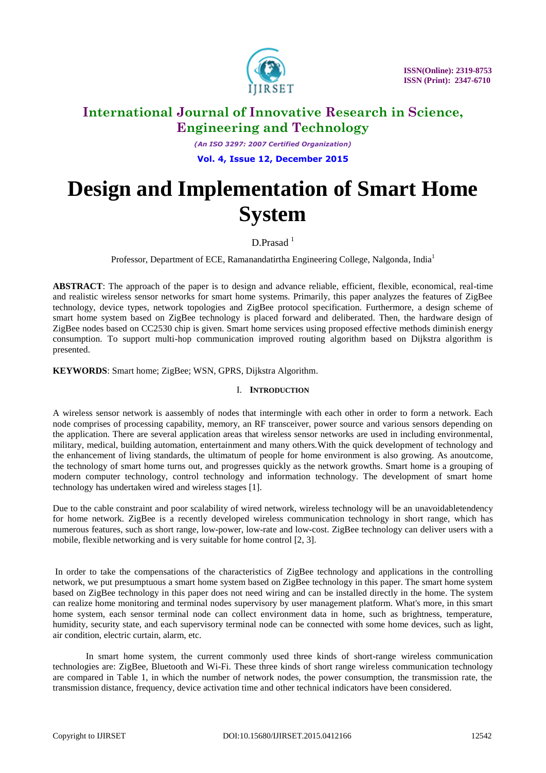

*(An ISO 3297: 2007 Certified Organization)* **Vol. 4, Issue 12, December 2015**

# **Design and Implementation of Smart Home System**

D.Prasad<sup>1</sup>

Professor, Department of ECE, Ramanandatirtha Engineering College, Nalgonda, India<sup>1</sup>

**ABSTRACT**: The approach of the paper is to design and advance reliable, efficient, flexible, economical, real-time and realistic wireless sensor networks for smart home systems. Primarily, this paper analyzes the features of ZigBee technology, device types, network topologies and ZigBee protocol specification. Furthermore, a design scheme of smart home system based on ZigBee technology is placed forward and deliberated. Then, the hardware design of ZigBee nodes based on CC2530 chip is given. Smart home services using proposed effective methods diminish energy consumption. To support multi-hop communication improved routing algorithm based on Dijkstra algorithm is presented.

**KEYWORDS**: Smart home; ZigBee; WSN, GPRS, Dijkstra Algorithm.

### I. **INTRODUCTION**

A wireless sensor network is aassembly of nodes that intermingle with each other in order to form a network. Each node comprises of processing capability, memory, an RF transceiver, power source and various sensors depending on the application. There are several application areas that wireless sensor networks are used in including environmental, military, medical, building automation, entertainment and many others.With the quick development of technology and the enhancement of living standards, the ultimatum of people for home environment is also growing. As anoutcome, the technology of smart home turns out, and progresses quickly as the network growths. Smart home is a grouping of modern computer technology, control technology and information technology. The development of smart home technology has undertaken wired and wireless stages [1].

Due to the cable constraint and poor scalability of wired network, wireless technology will be an unavoidabletendency for home network. ZigBee is a recently developed wireless communication technology in short range, which has numerous features, such as short range, low-power, low-rate and low-cost. ZigBee technology can deliver users with a mobile, flexible networking and is very suitable for home control [2, 3].

In order to take the compensations of the characteristics of ZigBee technology and applications in the controlling network, we put presumptuous a smart home system based on ZigBee technology in this paper. The smart home system based on ZigBee technology in this paper does not need wiring and can be installed directly in the home. The system can realize home monitoring and terminal nodes supervisory by user management platform. What's more, in this smart home system, each sensor terminal node can collect environment data in home, such as brightness, temperature, humidity, security state, and each supervisory terminal node can be connected with some home devices, such as light, air condition, electric curtain, alarm, etc.

In smart home system, the current commonly used three kinds of short-range wireless communication technologies are: ZigBee, Bluetooth and Wi-Fi. These three kinds of short range wireless communication technology are compared in Table 1, in which the number of network nodes, the power consumption, the transmission rate, the transmission distance, frequency, device activation time and other technical indicators have been considered.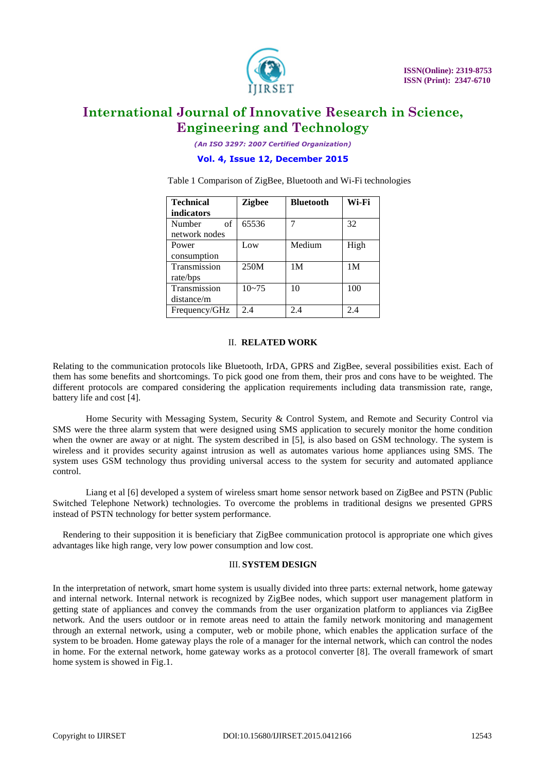

*(An ISO 3297: 2007 Certified Organization)*

**Vol. 4, Issue 12, December 2015**

Table 1 Comparison of ZigBee, Bluetooth and Wi-Fi technologies

| <b>Technical</b> | <b>Zigbee</b> | <b>Bluetooth</b> | Wi-Fi          |
|------------------|---------------|------------------|----------------|
| indicators       |               |                  |                |
| of<br>Number     | 65536         |                  | 32             |
| network nodes    |               |                  |                |
| Power            | Low           | Medium           | High           |
| consumption      |               |                  |                |
| Transmission     | 250M          | 1 <sub>M</sub>   | 1 <sub>M</sub> |
| rate/bps         |               |                  |                |
| Transmission     | $10 - 75$     | 10               | 100            |
| distance/m       |               |                  |                |
| Frequency/GHz    | 2.4           | 2.4              | 2.4            |

### II. **RELATED WORK**

Relating to the communication protocols like Bluetooth, IrDA, GPRS and ZigBee, several possibilities exist. Each of them has some benefits and shortcomings. To pick good one from them, their pros and cons have to be weighted. The different protocols are compared considering the application requirements including data transmission rate, range, battery life and cost [4].

Home Security with Messaging System, Security & Control System, and Remote and Security Control via SMS were the three alarm system that were designed using SMS application to securely monitor the home condition when the owner are away or at night. The system described in [5], is also based on GSM technology. The system is wireless and it provides security against intrusion as well as automates various home appliances using SMS. The system uses GSM technology thus providing universal access to the system for security and automated appliance control.

Liang et al [6] developed a system of wireless smart home sensor network based on ZigBee and PSTN (Public Switched Telephone Network) technologies. To overcome the problems in traditional designs we presented GPRS instead of PSTN technology for better system performance.

Rendering to their supposition it is beneficiary that ZigBee communication protocol is appropriate one which gives advantages like high range, very low power consumption and low cost.

#### III. **SYSTEM DESIGN**

In the interpretation of network, smart home system is usually divided into three parts: external network, home gateway and internal network. Internal network is recognized by ZigBee nodes, which support user management platform in getting state of appliances and convey the commands from the user organization platform to appliances via ZigBee network. And the users outdoor or in remote areas need to attain the family network monitoring and management through an external network, using a computer, web or mobile phone, which enables the application surface of the system to be broaden. Home gateway plays the role of a manager for the internal network, which can control the nodes in home. For the external network, home gateway works as a protocol converter [8]. The overall framework of smart home system is showed in Fig.1.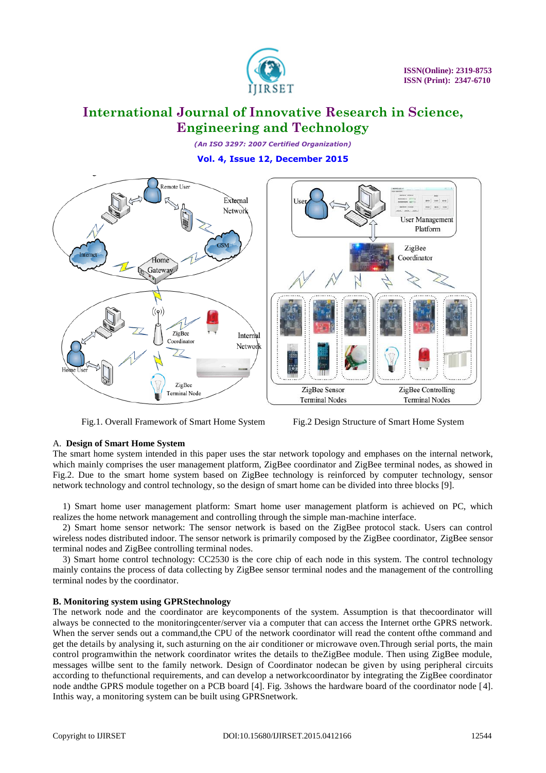

*(An ISO 3297: 2007 Certified Organization)* **Vol. 4, Issue 12, December 2015**



Fig.1. Overall Framework of Smart Home System Fig.2 Design Structure of Smart Home System

### A. **Design of Smart Home System**

The smart home system intended in this paper uses the star network topology and emphases on the internal network, which mainly comprises the user management platform, ZigBee coordinator and ZigBee terminal nodes, as showed in Fig.2. Due to the smart home system based on ZigBee technology is reinforced by computer technology, sensor network technology and control technology, so the design of smart home can be divided into three blocks [9].

1) Smart home user management platform: Smart home user management platform is achieved on PC, which realizes the home network management and controlling through the simple man-machine interface.

2) Smart home sensor network: The sensor network is based on the ZigBee protocol stack. Users can control wireless nodes distributed indoor. The sensor network is primarily composed by the ZigBee coordinator, ZigBee sensor terminal nodes and ZigBee controlling terminal nodes.

3) Smart home control technology: CC2530 is the core chip of each node in this system. The control technology mainly contains the process of data collecting by ZigBee sensor terminal nodes and the management of the controlling terminal nodes by the coordinator.

#### **B. Monitoring system using GPRStechnology**

The network node and the coordinator are keycomponents of the system. Assumption is that thecoordinator will always be connected to the monitoringcenter/server via a computer that can access the Internet orthe GPRS network. When the server sends out a command, the CPU of the network coordinator will read the content of the command and get the details by analysing it, such asturning on the air conditioner or microwave oven.Through serial ports, the main control programwithin the network coordinator writes the details to theZigBee module. Then using ZigBee module, messages willbe sent to the family network. Design of Coordinator nodecan be given by using peripheral circuits according to thefunctional requirements, and can develop a networkcoordinator by integrating the ZigBee coordinator node andthe GPRS module together on a PCB board [4]. Fig. 3shows the hardware board of the coordinator node [4]. Inthis way, a monitoring system can be built using GPRSnetwork.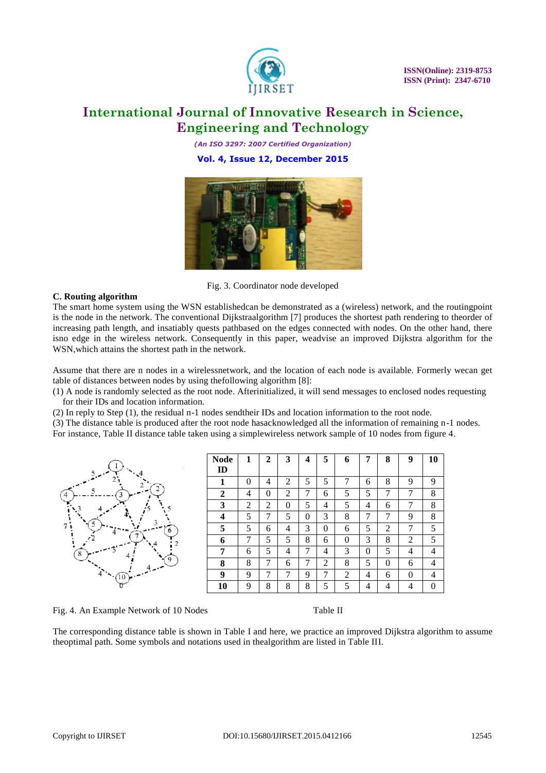

*(An ISO 3297: 2007 Certified Organization)* **Vol. 4, Issue 12, December 2015**



Fig. 3. Coordinator node developed

### **C. Routing algorithm**

The smart home system using the WSN establishedcan be demonstrated as a (wireless) network, and the routingpoint is the node in the network. The conventional Dijkstraalgorithm [7] produces the shortest path rendering to theorder of increasing path length, and insatiably quests pathbased on the edges connected with nodes. On the other hand, there isno edge in the wireless network. Consequently in this paper, weadvise an improved Dijkstra algorithm for the WSN,which attains the shortest path in the network.

Assume that there are n nodes in a wirelessnetwork, and the location of each node is available. Formerly wecan get table of distances between nodes by using thefollowing algorithm [8]:

(1) A node is randomly selected as the root node. Afterinitialized, it will send messages to enclosed nodes requesting for their IDs and location information.

(2) In reply to Step (1), the residual n-1 nodes sendtheir IDs and location information to the root node.

(3) The distance table is produced after the root node hasacknowledged all the information of remaining n-1 nodes.

For instance, Table II distance table taken using a simplewireless network sample of 10 nodes from figure 4.



Fig. 4. An Example Network of 10 Nodes Table II

The corresponding distance table is shown in Table I and here, we practice an improved Dijkstra algorithm to assume theoptimal path. Some symbols and notations used in thealgorithm are listed in Table III.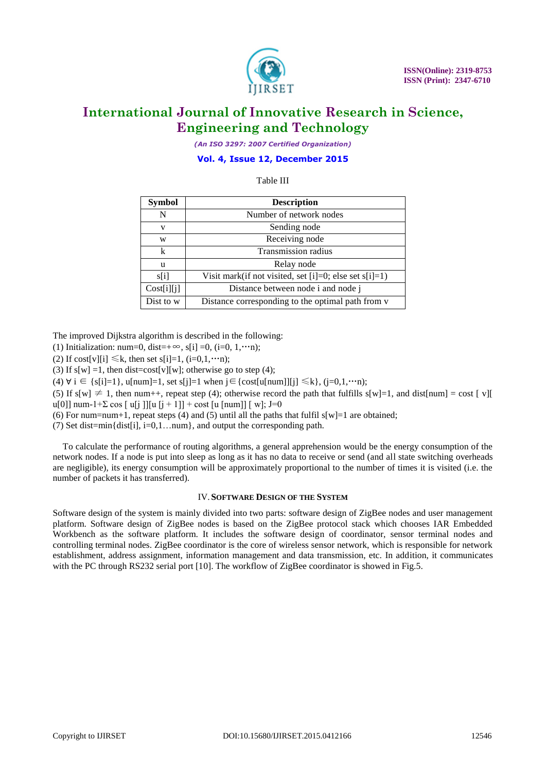

*(An ISO 3297: 2007 Certified Organization)*

### **Vol. 4, Issue 12, December 2015**

### Table III

| <b>Symbol</b> | <b>Description</b>                                        |  |
|---------------|-----------------------------------------------------------|--|
| N             | Number of network nodes                                   |  |
| v             | Sending node                                              |  |
| W             | Receiving node                                            |  |
| k             | Transmission radius                                       |  |
| u             | Relay node                                                |  |
| s[i]          | Visit mark(if not visited, set [i]=0; else set $s[i]=1$ ) |  |
| Cost[i][j]    | Distance between node i and node j                        |  |
| Dist to w     | Distance corresponding to the optimal path from v         |  |

The improved Dijkstra algorithm is described in the following:

(1) Initialization: num=0, dist=+ $\infty$ , s[i] =0, (i=0, 1,…n);

(2) If cost[v][i]  $\leq k$ , then set s[i]=1, (i=0,1,…n);

(3) If  $s[w] = 1$ , then dist=cost[v][w]; otherwise go to step (4);

(4)  $\forall$  i ∈ {s[i]=1}, u[num]=1, set s[j]=1 when j ∈ {cost[u[num]][j] ≤k}, (j=0,1,…n);

(5) If s[w]  $\neq$  1, then num++, repeat step (4); otherwise record the path that fulfills s[w]=1, and dist[num] = cost [ v][ u[0]] num-1+ $\Sigma$  cos  $\lceil u \rceil$  ]][u  $\lceil i + 1 \rceil$  + cost  $\lceil u \rceil$  num]]  $\lceil w \rceil$ ; J=0

(6) For num=num+1, repeat steps (4) and (5) until all the paths that fulfil  $s[w]=1$  are obtained;

(7) Set dist=min{dist[i], i=0,1…num}, and output the corresponding path.

To calculate the performance of routing algorithms, a general apprehension would be the energy consumption of the network nodes. If a node is put into sleep as long as it has no data to receive or send (and all state switching overheads are negligible), its energy consumption will be approximately proportional to the number of times it is visited (i.e. the number of packets it has transferred).

#### IV.**SOFTWARE DESIGN OF THE SYSTEM**

Software design of the system is mainly divided into two parts: software design of ZigBee nodes and user management platform. Software design of ZigBee nodes is based on the ZigBee protocol stack which chooses IAR Embedded Workbench as the software platform. It includes the software design of coordinator, sensor terminal nodes and controlling terminal nodes. ZigBee coordinator is the core of wireless sensor network, which is responsible for network establishment, address assignment, information management and data transmission, etc. In addition, it communicates with the PC through RS232 serial port [10]. The workflow of ZigBee coordinator is showed in Fig.5.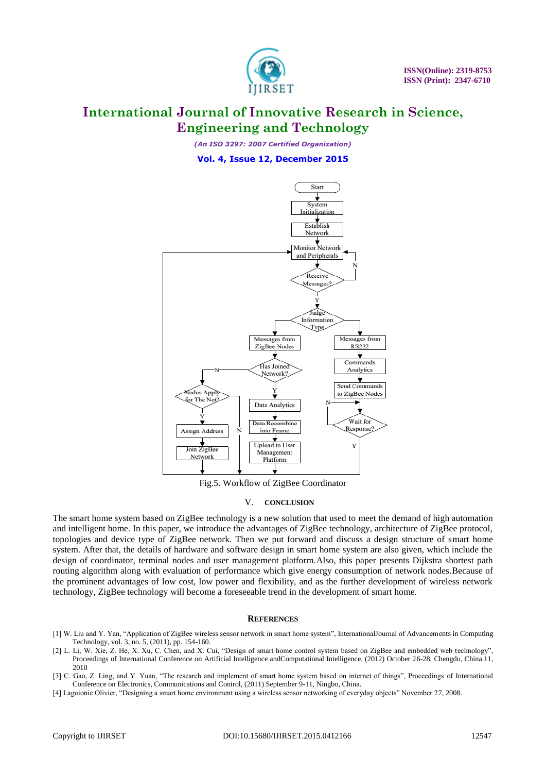

*(An ISO 3297: 2007 Certified Organization)*

**Vol. 4, Issue 12, December 2015**



Fig.5. Workflow of ZigBee Coordinator

### V. **CONCLUSION**

The smart home system based on ZigBee technology is a new solution that used to meet the demand of high automation and intelligent home. In this paper, we introduce the advantages of ZigBee technology, architecture of ZigBee protocol, topologies and device type of ZigBee network. Then we put forward and discuss a design structure of smart home system. After that, the details of hardware and software design in smart home system are also given, which include the design of coordinator, terminal nodes and user management platform.Also, this paper presents Dijkstra shortest path routing algorithm along with evaluation of performance which give energy consumption of network nodes.Because of the prominent advantages of low cost, low power and flexibility, and as the further development of wireless network technology, ZigBee technology will become a foreseeable trend in the development of smart home.

#### **REFERENCES**

- [1] W. Liu and Y. Yan, "Application of ZigBee wireless sensor network in smart home system", InternationalJournal of Advancements in Computing Technology, vol. 3, no. 5, (2011), pp. 154-160.
- [2] L. Li, W. Xie, Z. He, X. Xu, C. Chen, and X. Cui, "Design of smart home control system based on ZigBee and embedded web technology", Proceedings of International Conference on Artificial Intelligence andComputational Intelligence, (2012) October 26-28, Chengdu, China.11, 2010
- [3] C. Gao, Z. Ling, and Y. Yuan, "The research and implement of smart home system based on internet of things", Proceedings of International Conference on Electronics, Communications and Control, (2011) September 9-11, Ningbo, China.
- [4] Laguionie Olivier, "Designing a smart home environment using a wireless sensor networking of everyday objects" November 27, 2008.